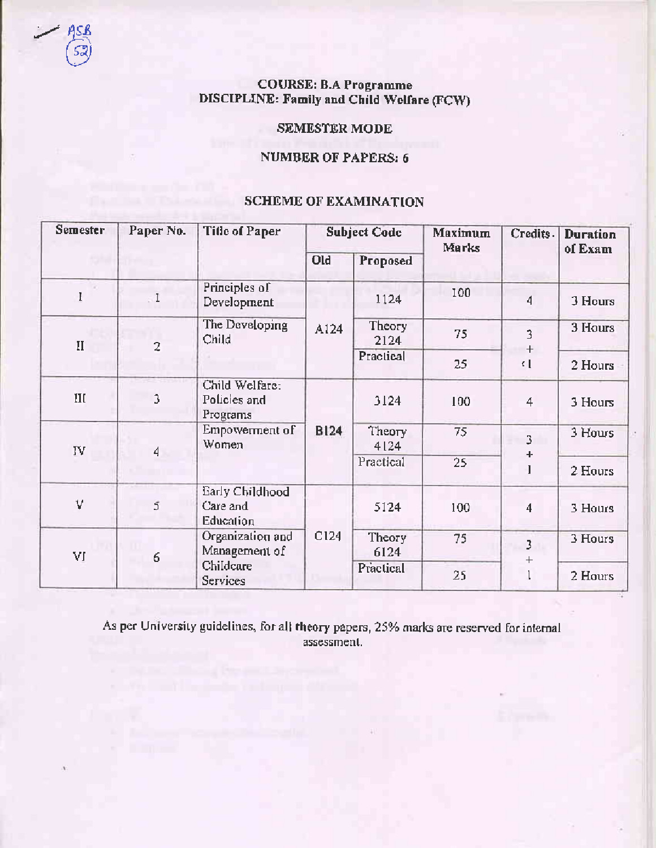# **COURSE: B.A Programme** DISCIPLINE: Family and Child Welfare (FCW)

# **SEMESTER MODE**

# **NUMBER OF PAPERS: 6**

# **SCHEME OF EXAMINATION**

| <b>Semester</b> | Paper No.      | <b>Title of Paper</b>                                      | <b>Subject Code</b> |                | Maximum<br>Marks | Credits.                | <b>Duration</b><br>of Exam |
|-----------------|----------------|------------------------------------------------------------|---------------------|----------------|------------------|-------------------------|----------------------------|
|                 |                |                                                            | Old                 | Proposed       |                  |                         |                            |
|                 | $\mathbf{I}$ . | Principles of<br>Development                               | A124                | 1124           | 100              | $\overline{4}$          | 3 Hours                    |
| $\mathbf{I}$    | $\overline{c}$ | The Developing<br>Child                                    |                     | Theory<br>2124 | 75               | 3                       | 3 Hours                    |
|                 |                |                                                            |                     | Practical      | 25               | $\qquad \qquad +$<br>K. | 2 Hours                    |
| III             | 3              | Child Welfare:<br>Policies and<br>Programs                 | <b>B124</b>         | 3124           | 100              | 4                       | 3 Hours                    |
| IV              | 4              | Empowerment of<br>Women                                    |                     | Theory<br>4124 | 75               | 3<br>٠<br>I             | 3 Hours                    |
|                 |                |                                                            |                     | Practical      | 25               |                         | 2 Hours                    |
| V               | 5              | Early Childhood<br>Care and<br><b>Education</b>            | C124                | 5124           | 100              | 4                       | 3 Hours                    |
| VI              | 6              | Organization and<br>Management of<br>Childcare<br>Services |                     | Theory<br>6124 | 75               | 3                       | 3 Hours                    |
|                 |                |                                                            |                     | Practical      | 25               | $\, +$                  | 2 Hours                    |

As per University guidelines, for all theory papers, 25% marks are reserved for internal assessment.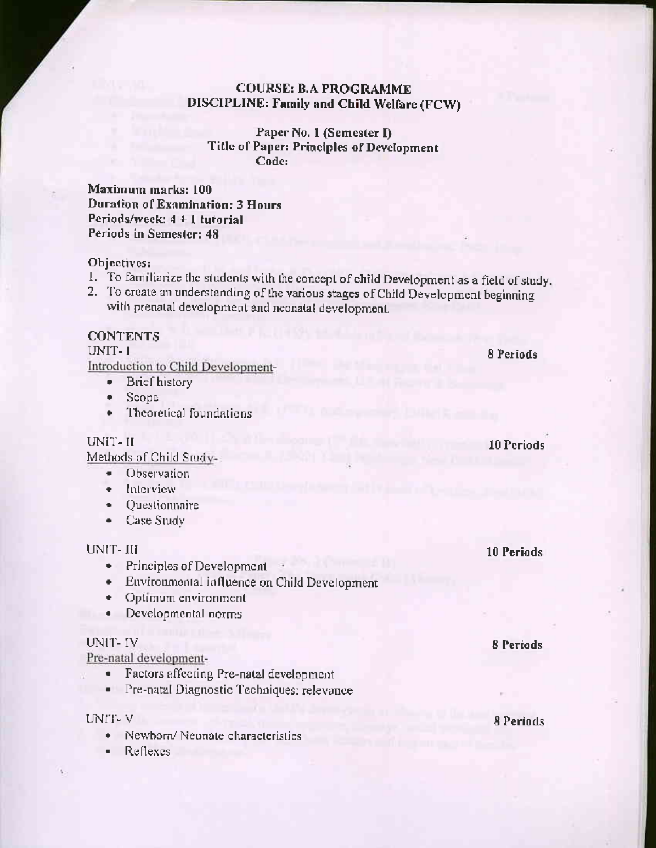# **COURSE: B.A PROGRAMME** DISCIPLINE: Family and Child Welfare (FCW)

Paper No. 1 (Semester I) Title of Paper: Principles of Development Code:

Maximum marks: 100 Duration of Examination: 3 Hours Periods/week:  $4 + 1$  tutorial Periods in Semester: 48

#### Objectives:

- 1. To familiarize the students with the concept of child Development as a field of study.
- 2. To create an understanding of the various stages of Child Development beginning with prenatal development and neonatal development.

# **CONTENTS**

UNIT-1

Introduction to Child Development-

- $\bullet$  . **Brief** history
- Scope ۰
- Theoretical foundations  $\bullet$

UNIT-II

Methods of Child Study-

- Observation ٠
- Interview ٠
- Questionnaire ٠
- Case Study  $\bullet$

#### UNIT-III

- Principles of Development
- Environmental influence on Child Development
- Optimum environment
- Developmental norms  $\bullet$

#### **UNIT-IV**

Pre-natal development-

- Factors affecting Pre-natal development  $\bullet$  .
- · Pre-natal Diagnostic Techniques: relevance

#### UNIT-V

- Newborn/Neonate characteristics
- Reflexes  $\blacksquare$

10 Periods

8 Periods

10 Periods

**8 Periods**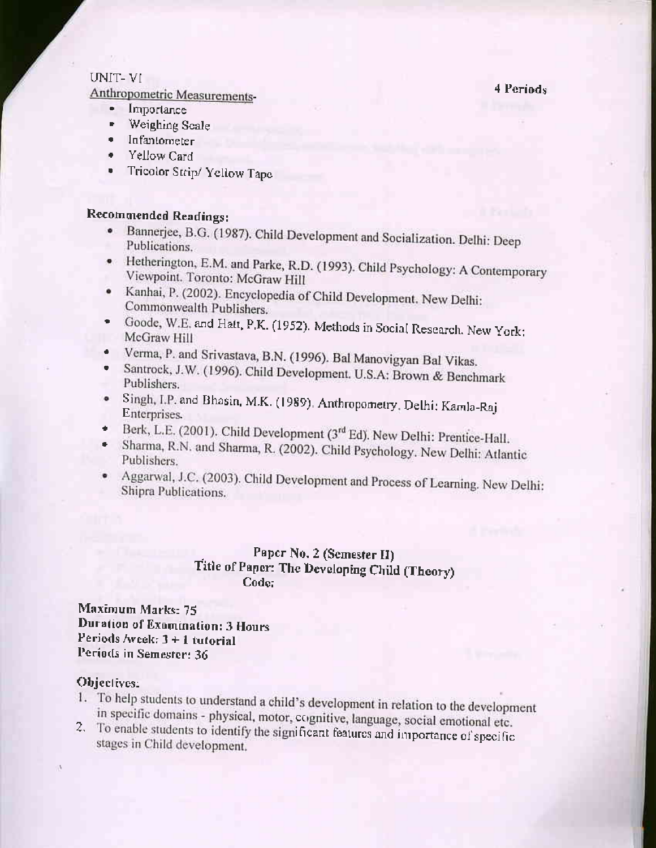#### 4 Periods

### UNIT-VI

Anthropometric Measurements-

- $\bullet$ Importance
- $\blacksquare$ Weighing Scale
- $\bullet$ Infantometer
- Yellow Card
- Tricolor Strip/Yellow Tape

# **Recommended Readings:**

- Bannerjee, B.G. (1987). Child Development and Socialization. Delhi: Deep  $\bullet$ Publications.
- · Hetherington, E.M. and Parke, R.D. (1993). Child Psychology: A Contemporary Viewpoint. Toronto: McGraw Hill
- · Kanhai, P. (2002). Encyclopedia of Child Development. New Delhi: Commonwealth Publishers.
- Goode, W.E. and Hatt, P.K. (1952). Methods in Social Research. New York: McGraw Hill
- · Verma, P. and Srivastava, B.N. (1996). Bal Manovigyan Bal Vikas.
- Santrock, J.W. (1996). Child Development. U.S.A: Brown & Benchmark  $\bullet$ Publishers.
- Singh, I.P. and Bhasin, M.K. (1989). Anthropometry, Delhi: Kamla-Raj  $\bullet$ Enterprises.
- Berk, L.E. (2001). Child Development (3rd Ed). New Delhi: Prentice-Hall. ÷.
- Sharma, R.N. and Sharma, R. (2002). Child Psychology. New Delhi: Atlantic  $\bullet$ Publishers.
- Aggarwal, J.C. (2003). Child Development and Process of Learning. New Delhi: Shipra Publications.

# Paper No. 2 (Semester II) Title of Paper: The Developing Child (Theory) Code:

Maximum Marks: 75 Duration of Examination: 3 Hours Periods /week:  $3 + 1$  tutorial Periods in Semester: 36

#### Objectives:

- 1. To help students to understand a child's development in relation to the development in specific domains - physical, motor, cognitive, language, social emotional etc.
- 2. To enable students to identify the significant features and importance of specific stages in Child development.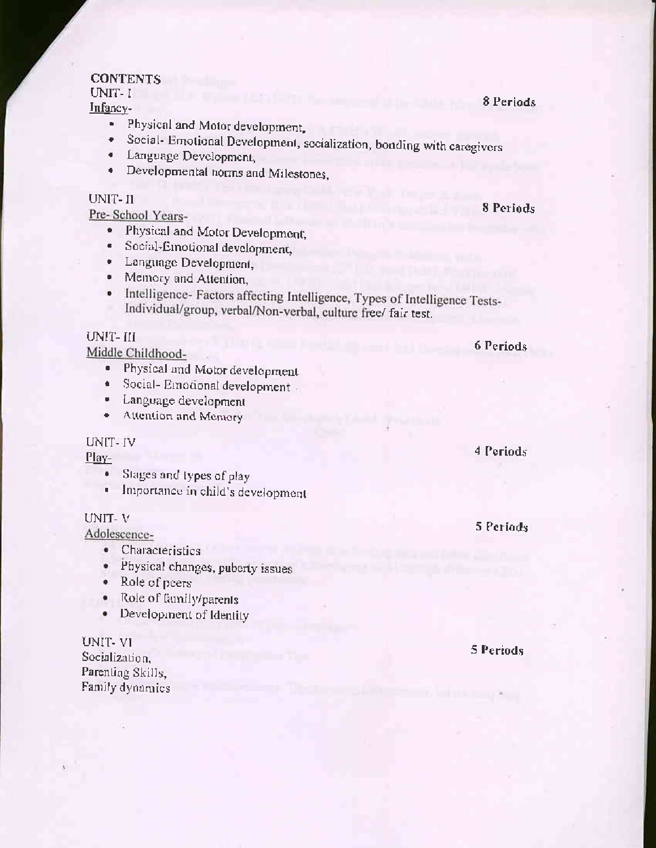# **CONTENTS**

UNIT-I

Infancy-

- Physical and Motor development,
- · Social- Emotional Development, socialization, bonding with caregivers
- Language Development,
- Developmental norms and Milestones,

#### UNIT-II

Pre-School Years-

- Physical and Motor Development,
- Social-Emotional development,  $\bullet$  .
- · Language Development,
- Memory and Attention,
- Intelligence-Factors affecting Intelligence, Types of Intelligence Tests-Individual/group, verbal/Non-verbal, culture free/ fair test.

### UNIT-III

Middle Childhood-

- Physical and Motor development o.
- Social-Emotional development - $\bullet$
- Language development σ.,
- Attention and Memory  $\bullet$

#### UNIT-IV

# Play-

- · Stages and types of play
- Importance in child's development e.

#### UNIT-V

Adolescence-

- Characteristics
- Physical changes, puberty issues
- Role of peers
- · Role of family/parents
- Development of Identity

UNIT-VI Socialization, Parenting Skills. Family dynamics 4 Periods

6 Periods

5 Periods

5 Periods

8 Periods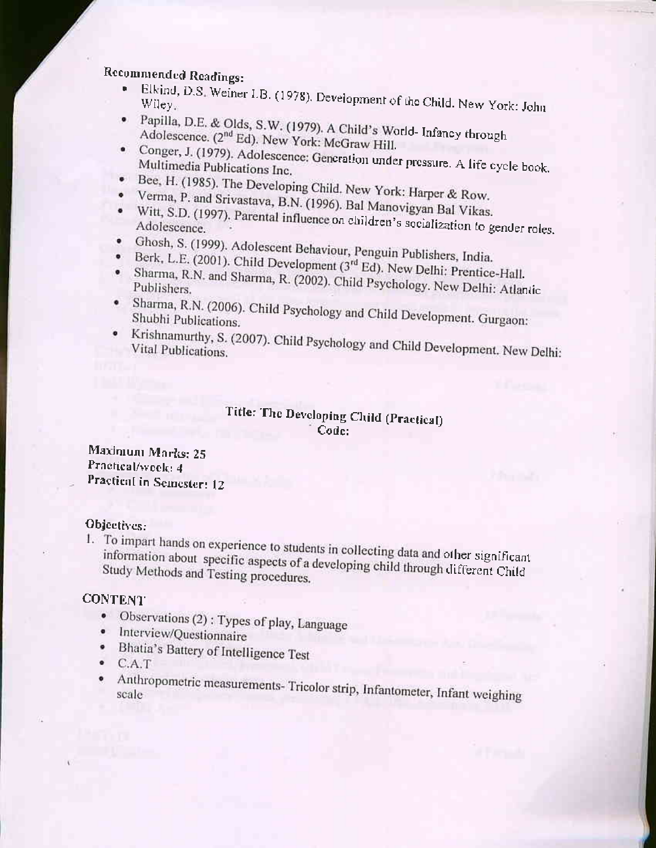# Recommended Readings:

- Elkind, D.S. Weiner I.B. (1978). Development of the Child. New York: John v.
- · Papilla, D.E. & Olds, S.W. (1979). A Child's World- Infancy through Adolescence. (2<sup>nd</sup> Ed). New York: McGraw Hill.
- · Conger, J. (1979). Adolescence: Generation under pressure. A life cycle book. Multimedia Publications Inc.
- Bee, H. (1985). The Developing Child. New York: Harper & Row.
- Verma, P. and Srivastava, B.N. (1996). Bal Manovigyan Bal Vikas. Witt, S.D. (1997). Parental influence on children's socialization to gender roles.  $\bullet$
- 
- · Ghosh, S. (1999). Adolescent Behaviour, Penguin Publishers, India.
- Berk, L.E. (2001). Child Development (3rd Ed). New Delhi: Prentice-Hall. · Sharma, R.N. and Sharma, R. (2002). Child Psychology. New Delhi: Atlantic
- · Sharma, R.N. (2006). Child Psychology and Child Development. Gurgaon: Shubhi Publications.
- Krishnamurthy, S. (2007). Child Psychology and Child Development. New Delhi:

# Title: The Developing Child (Practical) Code:

Maximum Marks: 25 Practical/week: 4 Practical in Semester: 12

# Objectives:

1. To impart hands on experience to students in collecting data and other significant information about specific aspects of a developing child through different Child Study Methods and Testing procedures.

# **CONTENT**

- Observations (2) : Types of play, Language
- · Interview/Questionnaire
- · Bhatia's Battery of Intelligence Test
- $\bullet$  C.A.T
- · Anthropometric measurements- Tricolor strip, Infantometer, Infant weighing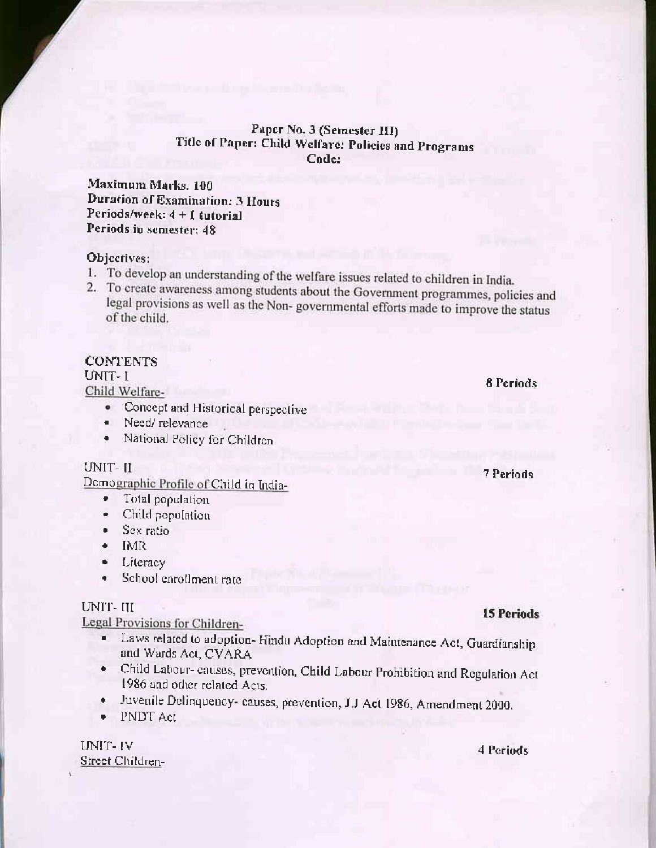#### Paper No. 3 (Semester III) Title of Paper: Child Welfare: Policies and Programs Code:

Maximum Marks: 100 **Duration of Examination: 3 Hours** Periods/week:  $4 + 1$  tutorial Periods in semester: 48

#### Objectives:

- 1. To develop an understanding of the welfare issues related to children in India.
- 2. To create awareness among students about the Government programmes, policies and legal provisions as well as the Non-governmental efforts made to improve the status of the child.

# **CONTENTS**

# UNIT- I

Child Welfare-

- Concept and Historical perspective
- Need/relevance
- · National Policy for Children

#### UNIT-II

Demographic Profile of Child in India-

- Total population ۰.
- Child population ۰.
- · Sex ratio
- $\bullet$  IMR
- $\bullet$  Literacy
- School enrollment rate . .

#### UNIT-III

Legal Provisions for Children-

- Laws related to adoption-Hindu Adoption and Maintenance Act, Guardianship ۰. and Wards Act, CVARA
- Child Labour- causes, prevention, Child Labour Prohibition and Regulation Act  $\bullet$ 1986 and other related Acts.
- Juvenile Delinquency- causes, prevention, J.J Act 1986, Amendment 2000. ٠
- PNDT Act

UNIT-IV Street Children-

# **15 Periods**

# 4 Periods

8 Periods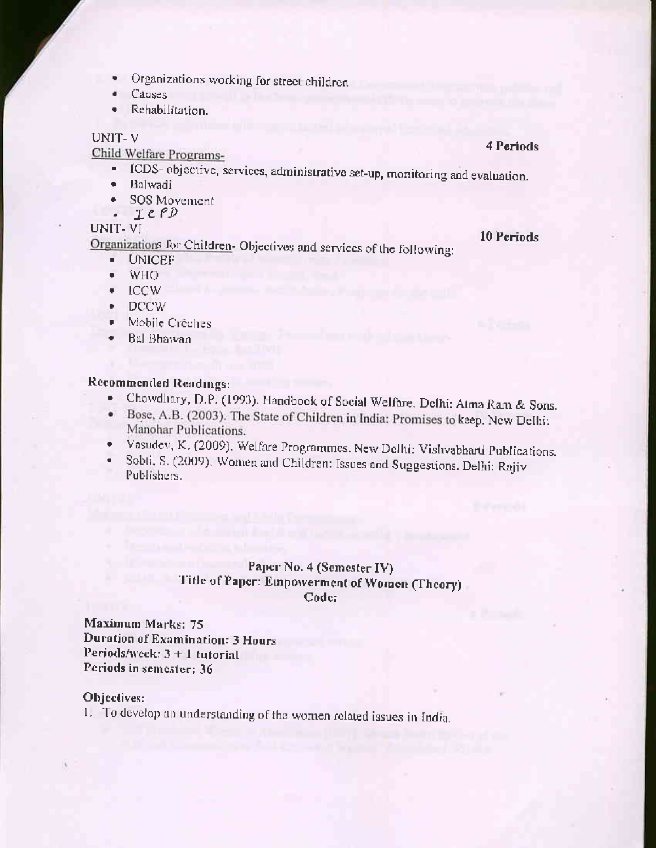- Organizations working for street children
- Causes  $\blacksquare$
- Rehabilitation.  $\bullet$

#### UNIT-V

Child Welfare Programs-

- · ICDS-objective, services, administrative set-up, monitoring and evaluation.
- · Balwadi
- SOS Movement  $\bullet$
- $-LCPD$

# UNIT-VI

Organizations for Children-Objectives and services of the following:

- **UNICEF**
- **WHO** ٠
- $\bullet$  ICCW
- $\bullet$  DCCW
- Mobile Crèches
- $\bullet$  Bal Bhawan

# Recommended Readings:

- Chowdhary, D.P. (1993). Handbook of Social Welfare. Delhi: Atma Ram & Sons.
- · Bose, A.B. (2003). The State of Children in India: Promises to keep. New Delhi: Manohar Publications.
- · Vasudev, K. (2009). Welfare Programmes. New Delhi: Vishvabharti Publications.
- Sobti, S. (2009). Women and Children: Issues and Suggestions. Delhi: Rajiv  $\blacksquare$ Publishers.

# Paper No. 4 (Semester IV) Title of Paper: Empowerment of Women (Theory) Code:

Maximum Marks: 75 **Duration of Examination: 3 Hours** Periods/week: 3 + 1 tutorial Periods in semester; 36

#### Objectives:

1. To develop an understanding of the women related issues in India.

### 4 Periods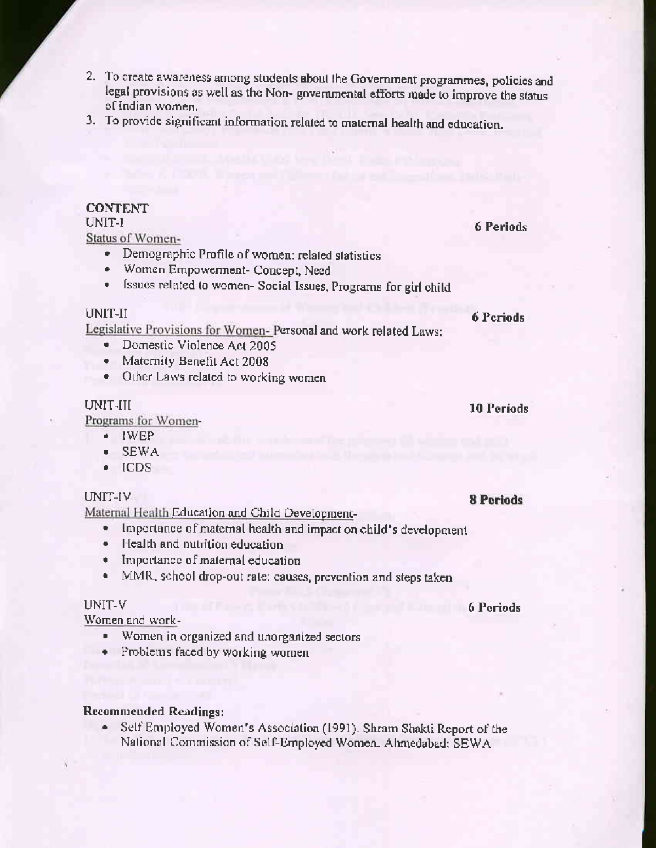- 2. To create awareness among students about the Government programmes, policies and legal provisions as well as the Non-governmental efforts made to improve the status of Indian women.
- 3. To provide significant information related to maternal health and education.

### **CONTENT**

# UNIT-1

Status of Women-

- Demographic Profile of women: related statistics
- Women Empowerment- Concept, Need
- Issues related to women- Social Issues, Programs for girl child

#### UNIT-II

Legislative Provisions for Women- Personal and work related Laws:

- · Domestic Violence Act 2005
- Maternity Benefit Act 2008
- Other Laws related to working women

#### UNIT-III

Programs for Women-

- $\blacksquare$  IWEP
- $\bullet$  SEWA
- $\bullet$  ICDS

#### UNIT-IV

Maternal Health Education and Child Development-

- Importance of maternal health and impact on child's development  $\bullet$
- Health and nutrition education
- · Importance of maternal education
- MMR, school drop-out rate: causes, prevention and steps taken

#### UNIT-V

Women and work-

- Women in organized and unorganized sectors
- Problems faced by working women

# **Recommended Readings:**

Self Employed Women's Association (1991). Shram Shakti Report of the  $\bullet$ National Commission of Self-Employed Women. Ahmedabad: SEWA

#### **6** Periods

**10 Periods** 

#### **8 Periods**

6 Periods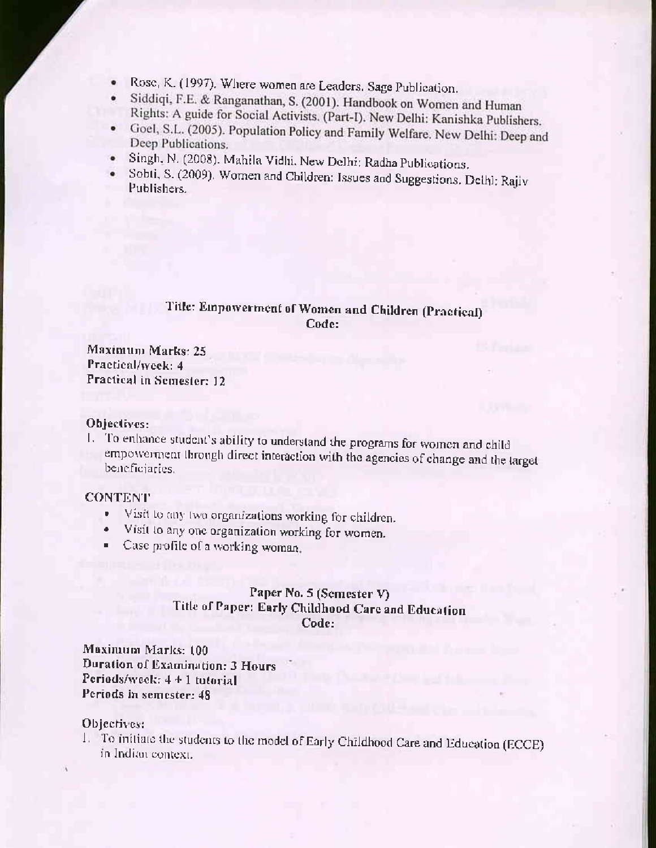- Rose, K. (1997). Where women are Leaders. Sage Publication.  $\bullet$
- Siddiqi, F.E. & Ranganathan, S. (2001). Handbook on Women and Human  $\bullet$ Rights: A guide for Social Activists. (Part-I). New Delhi: Kanishka Publishers.
- Goel, S.L. (2005). Population Policy and Family Welfare. New Delhi: Deep and  $\bullet$ Deep Publications.
- Singh, N. (2008). Mahila Vidhi. New Delhi: Radha Publications.  $\bullet$
- · Sobti, S. (2009). Women and Children: Issues and Suggestions. Delhi: Rajiv Publishers.

# Title: Empowerment of Women and Children (Practical) Code:

Maximum Marks: 25 Practical/week: 4 Practical in Semester: 12

#### Objectives:

1. To enhance student's ability to understand the programs for women and child empowerment through direct interaction with the agencies of change and the target beneficiaries.

### **CONTENT**

- · Visit to any two organizations working for children.
- Visit to any one organization working for women.
- Case profile of a working woman.

# Paper No. 5 (Semester V) Title of Paper: Early Childhood Care and Education Code:

Maximum Marks: 100 **Duration of Examination: 3 Hours** Periods/week:  $4 + 1$  tutorial Periods in semester: 48

#### Objectives:

1. To initiate the students to the model of Early Childhood Care and Education (ECCE) in Indian context.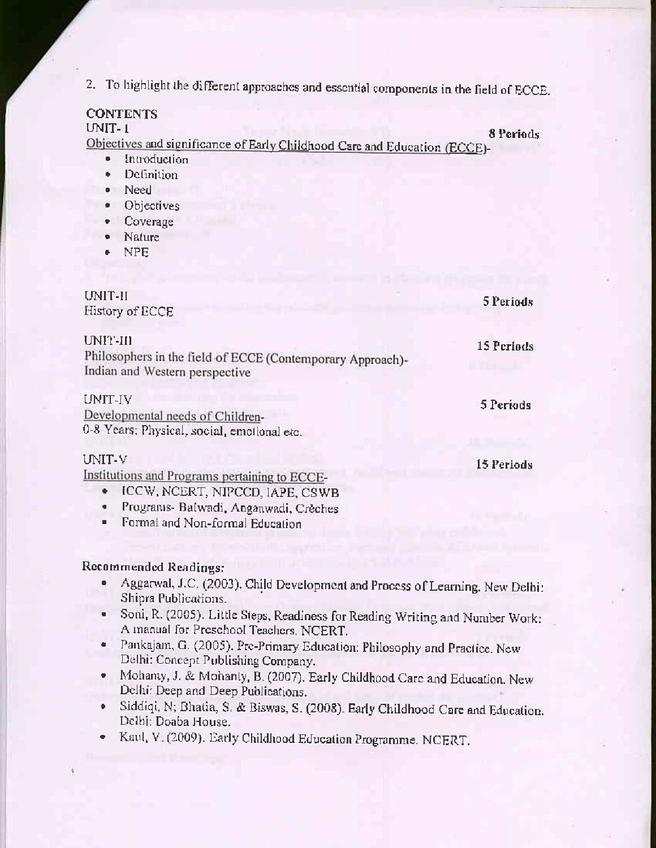2. To highlight the different approaches and essential components in the field of ECCE.

# **CONTENTS**

UNIT-1

Objectives and significance of Early Childhood Care and Education (ECCE)-

8 Periods

- Introduction  $\bullet$
- Definition  $\bullet$
- Need
- **Objectives**
- Coverage
- Nature
- **NPE**

| UNIT-II<br>History of ECCE                                                                               | 5 Periods  |
|----------------------------------------------------------------------------------------------------------|------------|
| UNIT-III<br>Philosophers in the field of ECCE (Contemporary Approach)-<br>Indian and Western perspective | 15 Periods |
| UNIT-IV<br>Developmental needs of Children-<br>0-8 Years: Physical, social, emotional etc.               | 5 Periods  |
| UNIT-V<br>Institutions and Programs pertaining to ECCE-<br>ICCW, NCERT, NIPCCD, IAPE, CSWB               | 15 Periods |

- Programs- Balwadi, Anganwadi, Creches  $\bullet$  .
- Formal and Non-formal Education п.

# Recommended Readings:

- Aggarwal, J.C. (2003). Child Development and Process of Learning. New Delhi:  $\bullet$ Shipra Publications.
- Soni, R. (2005). Little Steps, Readiness for Reading Writing and Number Work: o. A manual for Preschool Teachers, NCERT.
- Pankajam, G. (2005). Pre-Primary Education: Philosophy and Practice. New ۰. Delhi: Concept Publishing Company.
- Mohanty, J. & Mohanty, B. (2007). Early Childhood Care and Education. New ٠. Delhi: Deep and Deep Publications.
- · Siddiqi, N; Bhatia, S. & Biswas, S. (2008). Early Childhood Care and Education. Delhi: Doaba House.
- Kaul, V. (2009). Early Childhood Education Programme. NCERT.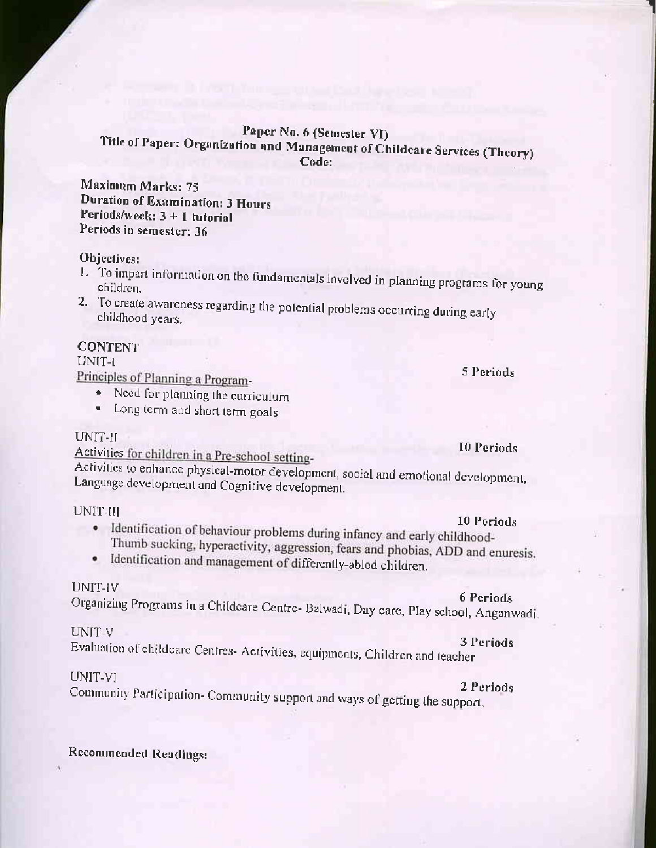# Paper No. 6 (Semester VI) Title of Paper: Organization and Management of Childcare Services (Theory) Code:

Maximum Marks: 75 **Duration of Examination: 3 Hours** Periods/week:  $3 + 1$  tutorial Periods in semester: 36

# Objectives:

- 1. To impart information on the fundamentals involved in planning programs for young children.
- 2. To create awareness regarding the potential problems occurring during early childhood years.

# **CONTENT**

#### UNIT-1

Principles of Planning a Program-

- · Need for planning the curriculum
- Long term and short term goals

#### UNIT-II

Activities for children in a Pre-school setting-

Activities to enhance physical-motor development, social and emotional development, Language development and Cognitive development.

#### UNIT-III

- · Identification of behaviour problems during infancy and early childhood-Thumb sucking, hyperactivity, aggression, fears and phobias, ADD and enuresis.
- · Identification and management of differently-abled children.

#### UNIT-IV

# 6 Periods Organizing Programs in a Childcare Centre- Balwadi, Day care, Play school, Anganwadi,

# UNIT-V

3 Periods Evaluation of childcare Centres- Activities, equipments, Children and teacher

# UNIT-VI

#### 2 Periods

Community Participation- Community support and ways of getting the support.

Recommended Readings:

5 Periods

#### 10 Periods